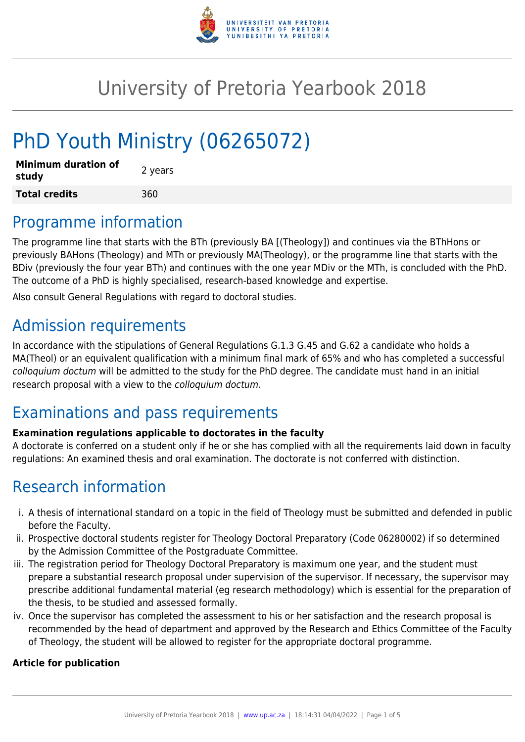

# University of Pretoria Yearbook 2018

# PhD Youth Ministry (06265072)

| <b>Minimum duration of</b><br>study | 2 years |
|-------------------------------------|---------|
| <b>Total credits</b>                | 360     |

# Programme information

The programme line that starts with the BTh (previously BA [(Theology]) and continues via the BThHons or previously BAHons (Theology) and MTh or previously MA(Theology), or the programme line that starts with the BDiv (previously the four year BTh) and continues with the one year MDiv or the MTh, is concluded with the PhD. The outcome of a PhD is highly specialised, research-based knowledge and expertise.

Also consult General Regulations with regard to doctoral studies.

# Admission requirements

In accordance with the stipulations of General Regulations G.1.3 G.45 and G.62 a candidate who holds a MA(Theol) or an equivalent qualification with a minimum final mark of 65% and who has completed a successful colloquium doctum will be admitted to the study for the PhD degree. The candidate must hand in an initial research proposal with a view to the colloquium doctum.

# Examinations and pass requirements

### **Examination regulations applicable to doctorates in the faculty**

A doctorate is conferred on a student only if he or she has complied with all the requirements laid down in faculty regulations: An examined thesis and oral examination. The doctorate is not conferred with distinction.

# Research information

- i. A thesis of international standard on a topic in the field of Theology must be submitted and defended in public before the Faculty.
- ii. Prospective doctoral students register for Theology Doctoral Preparatory (Code 06280002) if so determined by the Admission Committee of the Postgraduate Committee.
- iii. The registration period for Theology Doctoral Preparatory is maximum one year, and the student must prepare a substantial research proposal under supervision of the supervisor. If necessary, the supervisor may prescribe additional fundamental material (eg research methodology) which is essential for the preparation of the thesis, to be studied and assessed formally.
- iv. Once the supervisor has completed the assessment to his or her satisfaction and the research proposal is recommended by the head of department and approved by the Research and Ethics Committee of the Faculty of Theology, the student will be allowed to register for the appropriate doctoral programme.

### **Article for publication**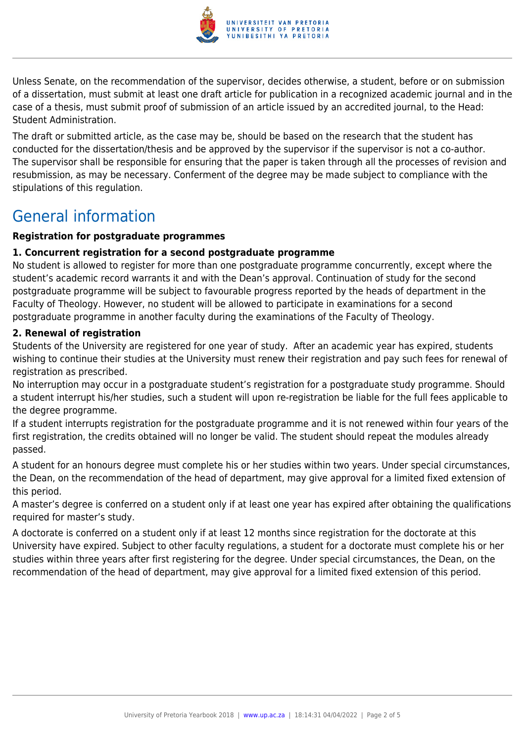

Unless Senate, on the recommendation of the supervisor, decides otherwise, a student, before or on submission of a dissertation, must submit at least one draft article for publication in a recognized academic journal and in the case of a thesis, must submit proof of submission of an article issued by an accredited journal, to the Head: Student Administration.

The draft or submitted article, as the case may be, should be based on the research that the student has conducted for the dissertation/thesis and be approved by the supervisor if the supervisor is not a co-author. The supervisor shall be responsible for ensuring that the paper is taken through all the processes of revision and resubmission, as may be necessary. Conferment of the degree may be made subject to compliance with the stipulations of this regulation.

# General information

### **Registration for postgraduate programmes**

#### **1. Concurrent registration for a second postgraduate programme**

No student is allowed to register for more than one postgraduate programme concurrently, except where the student's academic record warrants it and with the Dean's approval. Continuation of study for the second postgraduate programme will be subject to favourable progress reported by the heads of department in the Faculty of Theology. However, no student will be allowed to participate in examinations for a second postgraduate programme in another faculty during the examinations of the Faculty of Theology.

#### **2. Renewal of registration**

Students of the University are registered for one year of study. After an academic year has expired, students wishing to continue their studies at the University must renew their registration and pay such fees for renewal of registration as prescribed.

No interruption may occur in a postgraduate student's registration for a postgraduate study programme. Should a student interrupt his/her studies, such a student will upon re-registration be liable for the full fees applicable to the degree programme.

If a student interrupts registration for the postgraduate programme and it is not renewed within four years of the first registration, the credits obtained will no longer be valid. The student should repeat the modules already passed.

A student for an honours degree must complete his or her studies within two years. Under special circumstances, the Dean, on the recommendation of the head of department, may give approval for a limited fixed extension of this period.

A master's degree is conferred on a student only if at least one year has expired after obtaining the qualifications required for master's study.

A doctorate is conferred on a student only if at least 12 months since registration for the doctorate at this University have expired. Subject to other faculty regulations, a student for a doctorate must complete his or her studies within three years after first registering for the degree. Under special circumstances, the Dean, on the recommendation of the head of department, may give approval for a limited fixed extension of this period.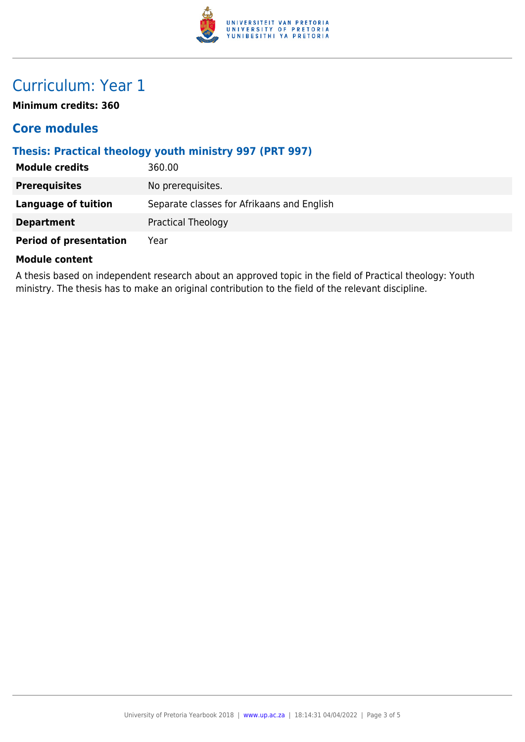

# Curriculum: Year 1

**Minimum credits: 360**

### **Core modules**

### **Thesis: Practical theology youth ministry 997 (PRT 997)**

| <b>Module credits</b>         | 360.00                                     |
|-------------------------------|--------------------------------------------|
| <b>Prerequisites</b>          | No prerequisites.                          |
| Language of tuition           | Separate classes for Afrikaans and English |
| <b>Department</b>             | Practical Theology                         |
| <b>Period of presentation</b> | Year                                       |

#### **Module content**

A thesis based on independent research about an approved topic in the field of Practical theology: Youth ministry. The thesis has to make an original contribution to the field of the relevant discipline.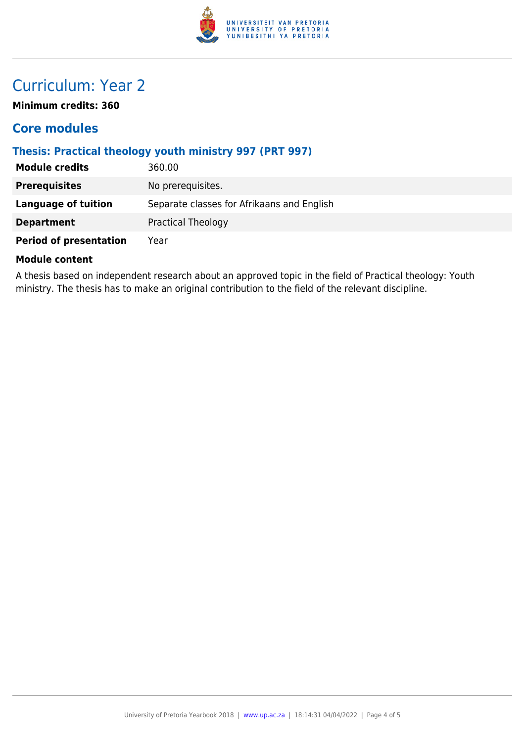

# Curriculum: Year 2

**Minimum credits: 360**

### **Core modules**

### **Thesis: Practical theology youth ministry 997 (PRT 997)**

| <b>Module credits</b>         | 360.00                                     |
|-------------------------------|--------------------------------------------|
| <b>Prerequisites</b>          | No prerequisites.                          |
| <b>Language of tuition</b>    | Separate classes for Afrikaans and English |
| <b>Department</b>             | <b>Practical Theology</b>                  |
| <b>Period of presentation</b> | Year                                       |

#### **Module content**

A thesis based on independent research about an approved topic in the field of Practical theology: Youth ministry. The thesis has to make an original contribution to the field of the relevant discipline.